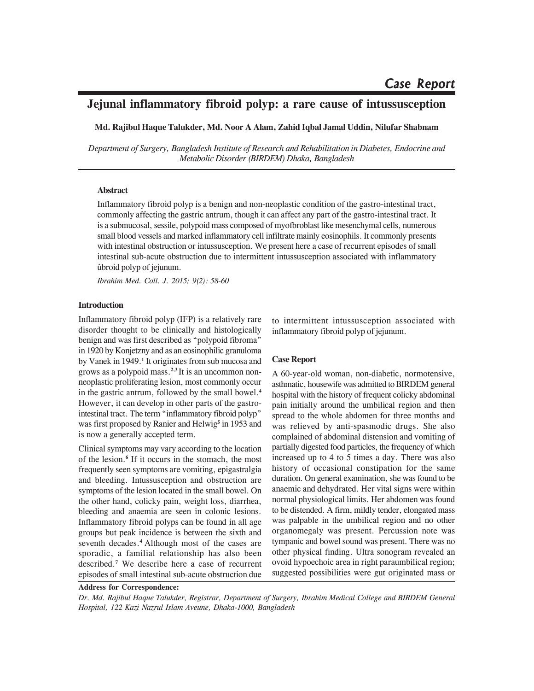# **Jejunal inflammatory fibroid polyp: a rare cause of intussusception**

**Md. Rajibul Haque Talukder, Md. Noor A Alam, Zahid Iqbal Jamal Uddin, Nilufar Shabnam**

*Department of Surgery, Bangladesh Institute of Research and Rehabilitation in Diabetes, Endocrine and Metabolic Disorder (BIRDEM) Dhaka, Bangladesh*

#### **Abstract**

Inflammatory fibroid polyp is a benign and non-neoplastic condition of the gastro-intestinal tract, commonly affecting the gastric antrum, though it can affect any part of the gastro-intestinal tract. It is a submucosal, sessile, polypoid mass composed of myofbroblast like mesenchymal cells, numerous small blood vessels and marked inflammatory cell infiltrate mainly eosinophils. It commonly presents with intestinal obstruction or intussusception. We present here a case of recurrent episodes of small intestinal sub-acute obstruction due to intermittent intussusception associated with inflammatory ûbroid polyp of jejunum.

*Ibrahim Med. Coll. J. 2015; 9(2): 58-60*

# **Introduction**

Inflammatory fibroid polyp (IFP) is a relatively rare disorder thought to be clinically and histologically benign and was first described as "polypoid fibroma" in 1920 by Konjetzny and as an eosinophilic granuloma by Vanek in 1949.<sup>1</sup> It originates from sub mucosa and grows as a polypoid mass.**2,3** It is an uncommon nonneoplastic proliferating lesion, most commonly occur in the gastric antrum, followed by the small bowel.**<sup>4</sup>** However, it can develop in other parts of the gastrointestinal tract. The term "inflammatory fibroid polyp" was first proposed by Ranier and Helwig<sup>5</sup> in 1953 and is now a generally accepted term.

Clinical symptoms may vary according to the location of the lesion.<sup>6</sup> If it occurs in the stomach, the most frequently seen symptoms are vomiting, epigastralgia and bleeding. Intussusception and obstruction are symptoms of the lesion located in the small bowel. On the other hand, colicky pain, weight loss, diarrhea, bleeding and anaemia are seen in colonic lesions. Inflammatory fibroid polyps can be found in all age groups but peak incidence is between the sixth and seventh decades.**<sup>4</sup>** Although most of the cases are sporadic, a familial relationship has also been described.**<sup>7</sup>** We describe here a case of recurrent episodes of small intestinal sub-acute obstruction due

to intermittent intussusception associated with inflammatory fibroid polyp of jejunum.

# **Case Report**

A 60-year-old woman, non-diabetic, normotensive, asthmatic, housewife was admitted to BIRDEM general hospital with the history of frequent colicky abdominal pain initially around the umbilical region and then spread to the whole abdomen for three months and was relieved by anti-spasmodic drugs. She also complained of abdominal distension and vomiting of partially digested food particles, the frequency of which increased up to 4 to 5 times a day. There was also history of occasional constipation for the same duration. On general examination, she was found to be anaemic and dehydrated. Her vital signs were within normal physiological limits. Her abdomen was found to be distended. A firm, mildly tender, elongated mass was palpable in the umbilical region and no other organomegaly was present. Percussion note was tympanic and bowel sound was present. There was no other physical finding. Ultra sonogram revealed an ovoid hypoechoic area in right paraumbilical region; suggested possibilities were gut originated mass or

**Address for Correspondence:**

*Dr. Md. Rajibul Haque Talukder, Registrar, Department of Surgery, Ibrahim Medical College and BIRDEM General Hospital, 122 Kazi Nazrul Islam Aveune, Dhaka-1000, Bangladesh*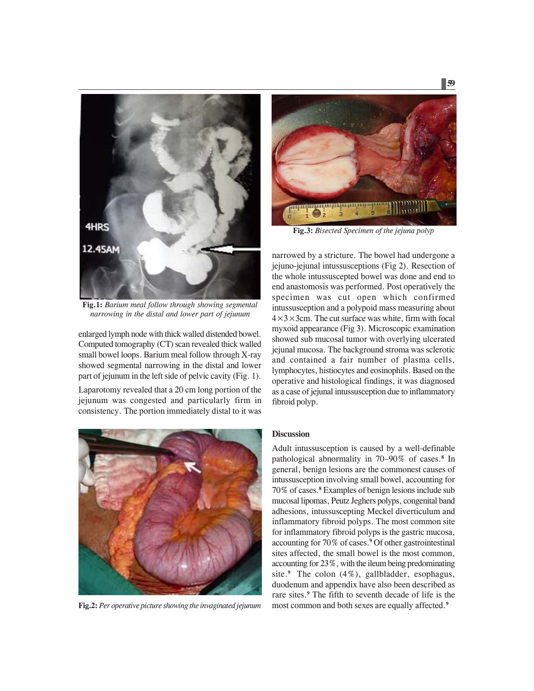

**Fig.1:** *Barium meal follow through showing segmental narrowing in the distal and lower part of jejunum*

enlarged lymph node with thick walled distended bowel. Computed tomography (CT) scan revealed thick walled small bowel loops. Barium meal follow through X-ray showed segmental narrowing in the distal and lower part of jejunum in the left side of pelvic cavity (Fig. 1).

Laparotomy revealed that a 20 cm long portion of the jejunum was congested and particularly firm in consistency. The portion immediately distal to it was



**Fig.2:** *Per operative picture showing the invaginated jejunum*



**Fig.3:** *Bisected Specimen of the jejuna polyp*

narrowed by a stricture. The bowel had undergone a jejuno-jejunal intussusceptions (Fig 2). Resection of the whole intussuscepted bowel was done and end to end anastomosis was performed. Post operatively the specimen was cut open which confirmed intussusception and a polypoid mass measuring about  $4\times3\times3$ cm. The cut surface was white, firm with focal myxoid appearance (Fig 3). Microscopic examination showed sub mucosal tumor with overlying ulcerated jejunal mucosa. The background stroma was sclerotic and contained a fair number of plasma cells, lymphocytes, histiocytes and eosinophils. Based on the operative and histological findings, it was diagnosed as a case of jejunal intussusception due to inflammatory fibroid polyp.

# **Discussion**

Adult intussusception is caused by a well-definable pathological abnormality in 70–90% of cases.**<sup>8</sup>** In general, benign lesions are the commonest causes of intussusception involving small bowel, accounting for 70% of cases.**<sup>8</sup>** Examples of benign lesions include sub mucosal lipomas, Peutz Jeghers polyps, congenital band adhesions, intussuscepting Meckel diverticulum and inflammatory fibroid polyps. The most common site for inflammatory fibroid polyps is the gastric mucosa, accounting for 70% of cases.**<sup>9</sup>** Of other gastrointestinal sites affected, the small bowel is the most common, accounting for 23%, with the ileum being predominating site.**<sup>9</sup>** The colon (4%), gallbladder, esophagus, duodenum and appendix have also been described as rare sites.**<sup>9</sup>** The fifth to seventh decade of life is the most common and both sexes are equally affected.**<sup>9</sup>**